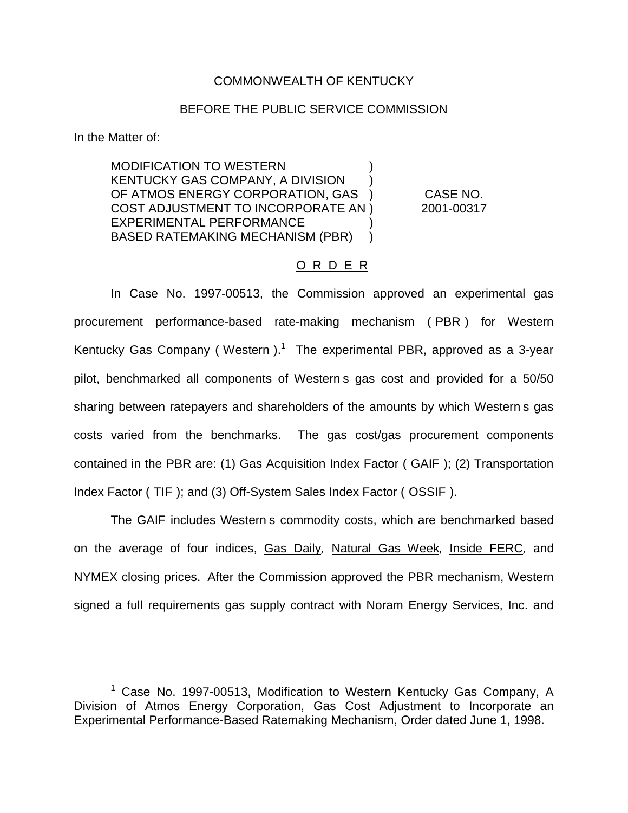### COMMONWEALTH OF KENTUCKY

#### BEFORE THE PUBLIC SERVICE COMMISSION

In the Matter of:

MODIFICATION TO WESTERN ) KENTUCKY GAS COMPANY, A DIVISION ) OF ATMOS ENERGY CORPORATION, GAS ) CASE NO. COST ADJUSTMENT TO INCORPORATE AN ) 2001-00317 EXPERIMENTAL PERFORMANCE ) BASED RATEMAKING MECHANISM (PBR) )

### O R D E R

In Case No. 1997-00513, the Commission approved an experimental gas procurement performance-based rate-making mechanism ( PBR ) for Western Kentucky Gas Company (Western).<sup>1</sup> The experimental PBR, approved as a 3-year pilot, benchmarked all components of Western s gas cost and provided for a 50/50 sharing between ratepayers and shareholders of the amounts by which Western s gas costs varied from the benchmarks. The gas cost/gas procurement components contained in the PBR are: (1) Gas Acquisition Index Factor ( GAIF ); (2) Transportation Index Factor ( TIF ); and (3) Off-System Sales Index Factor ( OSSIF ).

The GAIF includes Western s commodity costs, which are benchmarked based on the average of four indices, Gas Daily*,* Natural Gas Week*,* Inside FERC*,* and NYMEX closing prices. After the Commission approved the PBR mechanism, Western signed a full requirements gas supply contract with Noram Energy Services, Inc. and

<sup>&</sup>lt;sup>1</sup> Case No. 1997-00513, Modification to Western Kentucky Gas Company, A Division of Atmos Energy Corporation, Gas Cost Adjustment to Incorporate an Experimental Performance-Based Ratemaking Mechanism, Order dated June 1, 1998.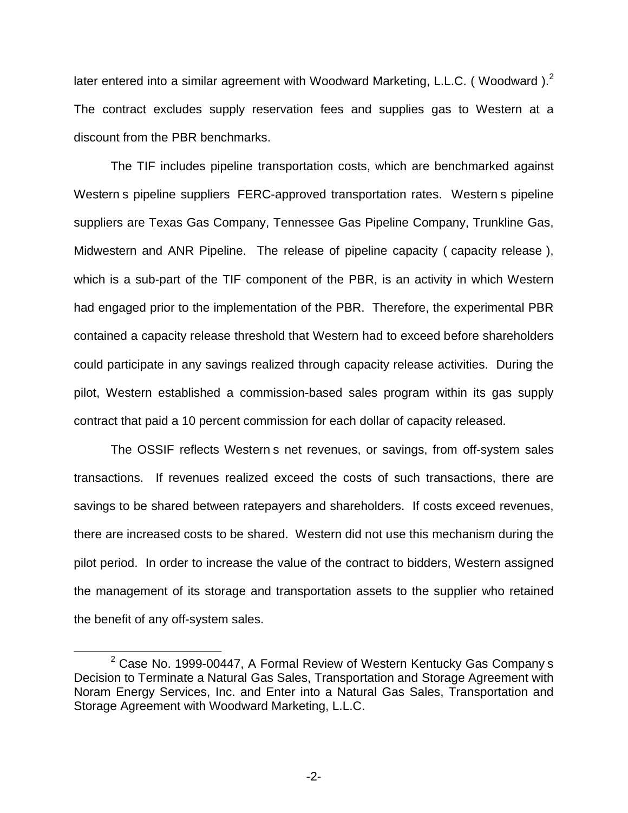later entered into a similar agreement with Woodward Marketing, L.L.C. (Woodward).<sup>2</sup> The contract excludes supply reservation fees and supplies gas to Western at a discount from the PBR benchmarks.

The TIF includes pipeline transportation costs, which are benchmarked against Western s pipeline suppliers FERC-approved transportation rates. Western s pipeline suppliers are Texas Gas Company, Tennessee Gas Pipeline Company, Trunkline Gas, Midwestern and ANR Pipeline. The release of pipeline capacity ( capacity release ), which is a sub-part of the TIF component of the PBR, is an activity in which Western had engaged prior to the implementation of the PBR. Therefore, the experimental PBR contained a capacity release threshold that Western had to exceed before shareholders could participate in any savings realized through capacity release activities. During the pilot, Western established a commission-based sales program within its gas supply contract that paid a 10 percent commission for each dollar of capacity released.

The OSSIF reflects Western s net revenues, or savings, from off-system sales transactions. If revenues realized exceed the costs of such transactions, there are savings to be shared between ratepayers and shareholders. If costs exceed revenues, there are increased costs to be shared. Western did not use this mechanism during the pilot period. In order to increase the value of the contract to bidders, Western assigned the management of its storage and transportation assets to the supplier who retained the benefit of any off-system sales.

 $2$  Case No. 1999-00447, A Formal Review of Western Kentucky Gas Company s Decision to Terminate a Natural Gas Sales, Transportation and Storage Agreement with Noram Energy Services, Inc. and Enter into a Natural Gas Sales, Transportation and Storage Agreement with Woodward Marketing, L.L.C.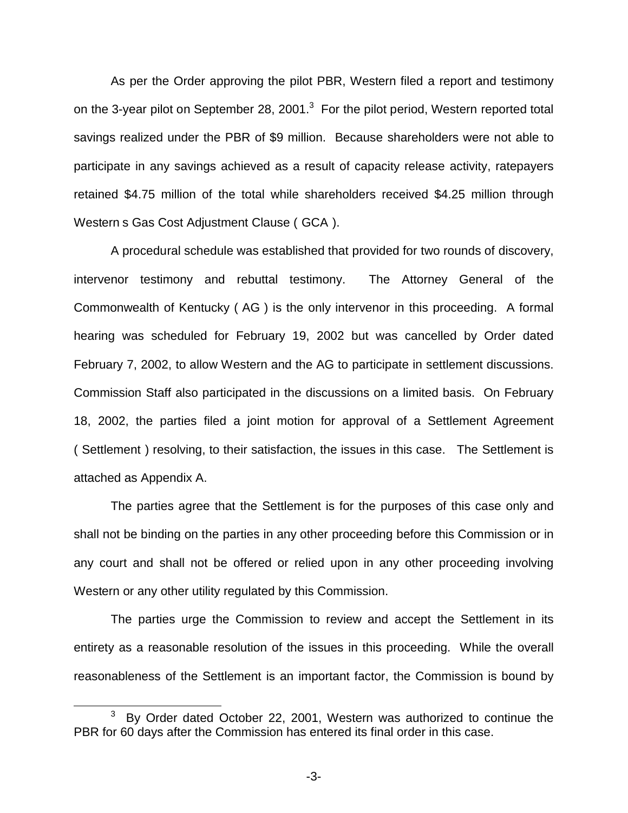As per the Order approving the pilot PBR, Western filed a report and testimony on the 3-year pilot on September 28, 2001.<sup>3</sup> For the pilot period, Western reported total savings realized under the PBR of \$9 million. Because shareholders were not able to participate in any savings achieved as a result of capacity release activity, ratepayers retained \$4.75 million of the total while shareholders received \$4.25 million through Western s Gas Cost Adjustment Clause ( GCA ).

A procedural schedule was established that provided for two rounds of discovery, intervenor testimony and rebuttal testimony. The Attorney General of the Commonwealth of Kentucky ( AG ) is the only intervenor in this proceeding. A formal hearing was scheduled for February 19, 2002 but was cancelled by Order dated February 7, 2002, to allow Western and the AG to participate in settlement discussions. Commission Staff also participated in the discussions on a limited basis. On February 18, 2002, the parties filed a joint motion for approval of a Settlement Agreement ( Settlement ) resolving, to their satisfaction, the issues in this case. The Settlement is attached as Appendix A.

The parties agree that the Settlement is for the purposes of this case only and shall not be binding on the parties in any other proceeding before this Commission or in any court and shall not be offered or relied upon in any other proceeding involving Western or any other utility regulated by this Commission.

The parties urge the Commission to review and accept the Settlement in its entirety as a reasonable resolution of the issues in this proceeding. While the overall reasonableness of the Settlement is an important factor, the Commission is bound by

By Order dated October 22, 2001, Western was authorized to continue the PBR for 60 days after the Commission has entered its final order in this case.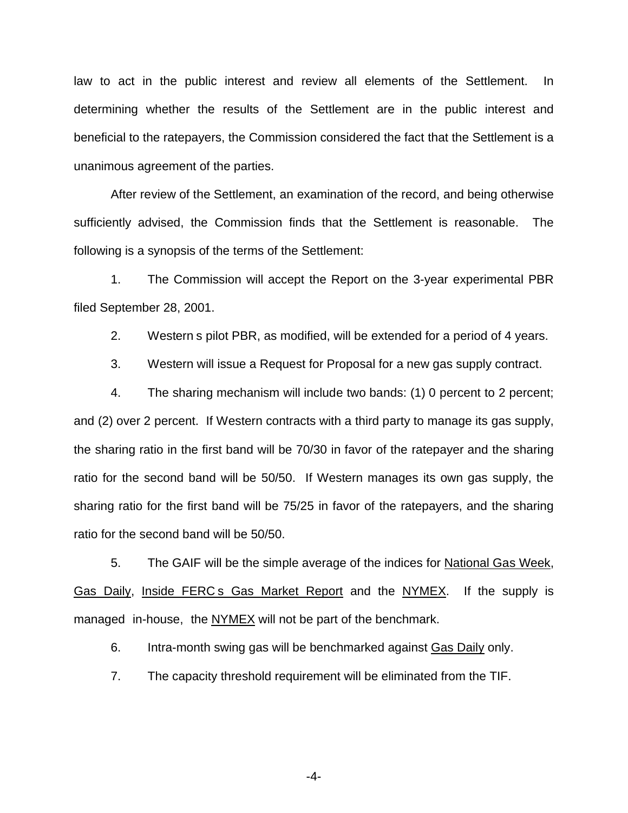law to act in the public interest and review all elements of the Settlement. In determining whether the results of the Settlement are in the public interest and beneficial to the ratepayers, the Commission considered the fact that the Settlement is a unanimous agreement of the parties.

After review of the Settlement, an examination of the record, and being otherwise sufficiently advised, the Commission finds that the Settlement is reasonable. The following is a synopsis of the terms of the Settlement:

1. The Commission will accept the Report on the 3-year experimental PBR filed September 28, 2001.

2. Western s pilot PBR, as modified, will be extended for a period of 4 years.

3. Western will issue a Request for Proposal for a new gas supply contract.

4. The sharing mechanism will include two bands: (1) 0 percent to 2 percent; and (2) over 2 percent. If Western contracts with a third party to manage its gas supply, the sharing ratio in the first band will be 70/30 in favor of the ratepayer and the sharing ratio for the second band will be 50/50. If Western manages its own gas supply, the sharing ratio for the first band will be 75/25 in favor of the ratepayers, and the sharing ratio for the second band will be 50/50.

5. The GAIF will be the simple average of the indices for National Gas Week, Gas Daily, Inside FERC s Gas Market Report and the NYMEX. If the supply is managed in-house, the NYMEX will not be part of the benchmark.

6. Intra-month swing gas will be benchmarked against Gas Daily only.

7. The capacity threshold requirement will be eliminated from the TIF.

-4-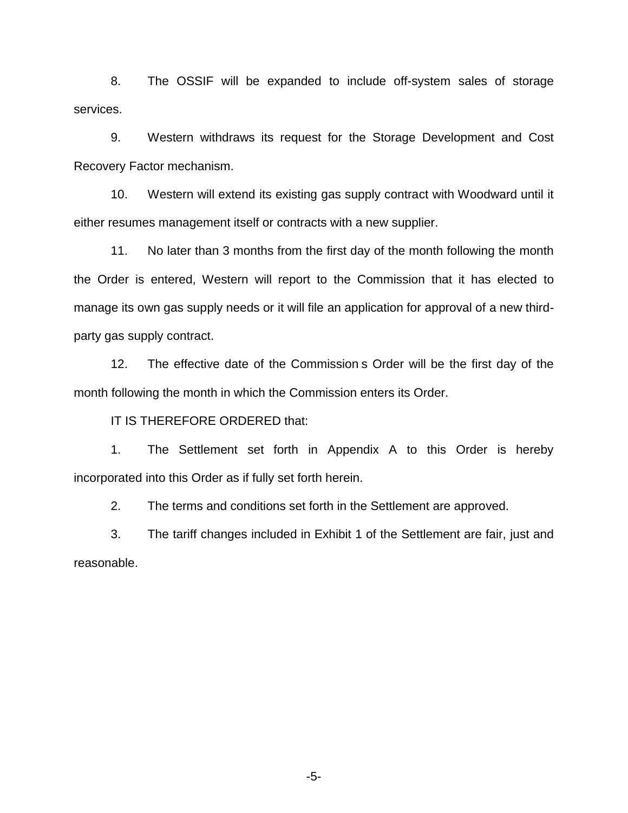8. The OSSIF will be expanded to include off-system sales of storage services.

9. Western withdraws its request for the Storage Development and Cost Recovery Factor mechanism.

10. Western will extend its existing gas supply contract with Woodward until it either resumes management itself or contracts with a new supplier.

11. No later than 3 months from the first day of the month following the month the Order is entered, Western will report to the Commission that it has elected to manage its own gas supply needs or it will file an application for approval of a new thirdparty gas supply contract.

12. The effective date of the Commission s Order will be the first day of the month following the month in which the Commission enters its Order.

IT IS THEREFORE ORDERED that:

1. The Settlement set forth in Appendix A to this Order is hereby incorporated into this Order as if fully set forth herein.

2. The terms and conditions set forth in the Settlement are approved.

3. The tariff changes included in Exhibit 1 of the Settlement are fair, just and reasonable.

-5-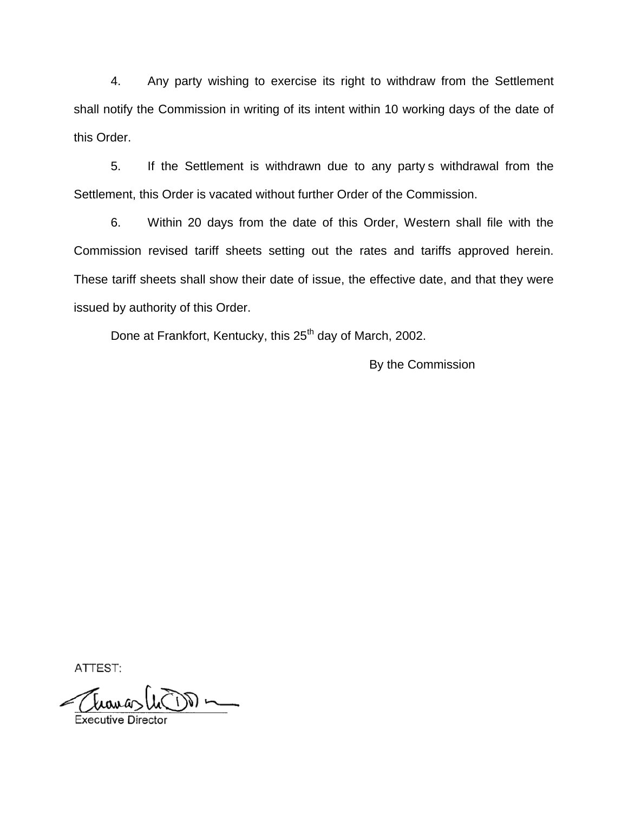4. Any party wishing to exercise its right to withdraw from the Settlement shall notify the Commission in writing of its intent within 10 working days of the date of this Order.

5. If the Settlement is withdrawn due to any party s withdrawal from the Settlement, this Order is vacated without further Order of the Commission.

6. Within 20 days from the date of this Order, Western shall file with the Commission revised tariff sheets setting out the rates and tariffs approved herein. These tariff sheets shall show their date of issue, the effective date, and that they were issued by authority of this Order.

Done at Frankfort, Kentucky, this 25<sup>th</sup> day of March, 2002.

By the Commission

ATTEST: